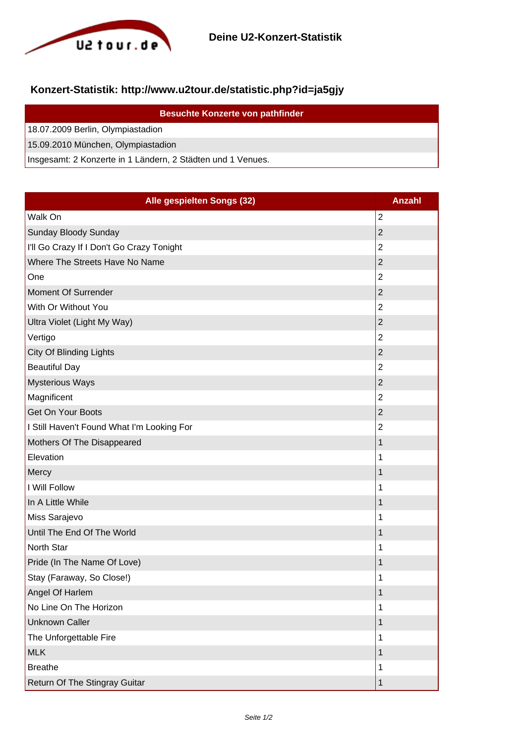

## **Konzert-Statistik: http://www.u2tour.de/statistic.php?id=ja5gjy**

| <b>Besuchte Konzerte von pathfinder</b>                     |
|-------------------------------------------------------------|
| 18.07.2009 Berlin, Olympiastadion                           |
| 15.09.2010 München, Olympiastadion                          |
| Insgesamt: 2 Konzerte in 1 Ländern, 2 Städten und 1 Venues. |

| Alle gespielten Songs (32)                 | <b>Anzahl</b>  |
|--------------------------------------------|----------------|
| Walk On                                    | $\overline{2}$ |
| Sunday Bloody Sunday                       | $\overline{2}$ |
| I'll Go Crazy If I Don't Go Crazy Tonight  | $\overline{2}$ |
| Where The Streets Have No Name             | $\overline{c}$ |
| One                                        | $\overline{2}$ |
| Moment Of Surrender                        | $\overline{2}$ |
| With Or Without You                        | $\overline{2}$ |
| Ultra Violet (Light My Way)                | $\overline{2}$ |
| Vertigo                                    | $\overline{2}$ |
| City Of Blinding Lights                    | $\overline{2}$ |
| <b>Beautiful Day</b>                       | $\overline{2}$ |
| <b>Mysterious Ways</b>                     | $\overline{2}$ |
| Magnificent                                | $\overline{2}$ |
| Get On Your Boots                          | $\overline{2}$ |
| I Still Haven't Found What I'm Looking For | $\overline{2}$ |
| Mothers Of The Disappeared                 | 1              |
| Elevation                                  | 1              |
| Mercy                                      | 1              |
| I Will Follow                              | 1              |
| In A Little While                          | 1              |
| Miss Sarajevo                              | 1              |
| Until The End Of The World                 | 1              |
| North Star                                 | 1              |
| Pride (In The Name Of Love)                | 1              |
| Stay (Faraway, So Close!)                  | 1              |
| Angel Of Harlem                            | 1              |
| No Line On The Horizon                     | 1              |
| <b>Unknown Caller</b>                      | 1              |
| The Unforgettable Fire                     | 1              |
| <b>MLK</b>                                 | $\mathbf 1$    |
| <b>Breathe</b>                             | 1              |
| Return Of The Stingray Guitar              | 1              |